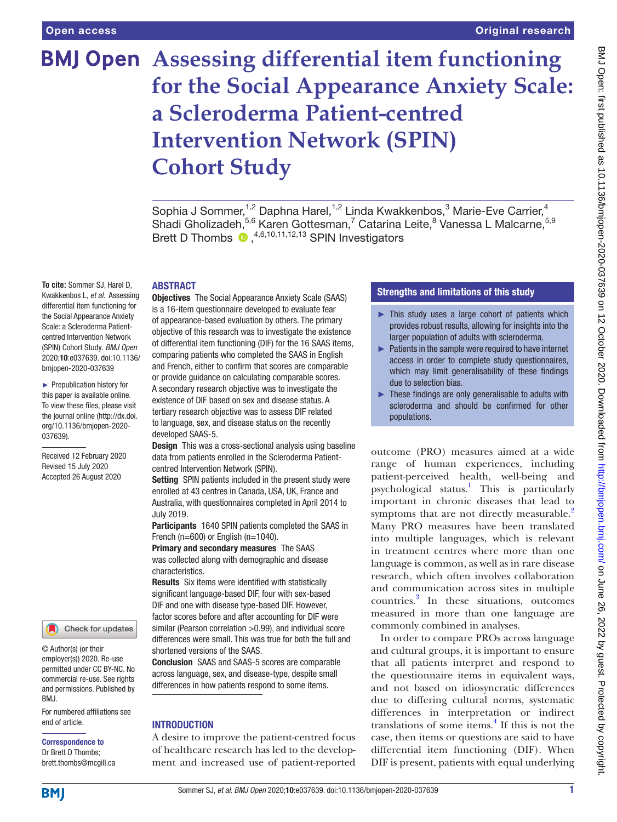# **BMJ Open** Assessing differential item functioning **for the Social Appearance Anxiety Scale: a Scleroderma Patient-centred Intervention Network (SPIN) Cohort Study**

Sophia J Sommer,<sup>1,2</sup> Daphna Harel,<sup>1,2</sup> Linda Kwakkenbos,<sup>3</sup> Marie-Eve Carrier,<sup>4</sup> Shadi Gholizadeh,<sup>5,6</sup> Karen Gottesman,<sup>7</sup> Catarina Leite,<sup>8</sup> Vanessa L Malcarne,<sup>5,9</sup> Brett D Thombs  $\bullet$ , 4,6,10,11,12,13 SPIN Investigators

#### ABSTRACT

**To cite:** Sommer SJ, Harel D, Kwakkenbos L, *et al*. Assessing differential item functioning for the Social Appearance Anxiety Scale: a Scleroderma Patientcentred Intervention Network (SPIN) Cohort Study. *BMJ Open* 2020;10:e037639. doi:10.1136/ bmjopen-2020-037639

► Prepublication history for this paper is available online. To view these files, please visit the journal online (http://dx.doi. org/10.1136/bmjopen-2020- 037639).

Received 12 February 2020 Revised 15 July 2020 Accepted 26 August 2020



© Author(s) (or their employer(s)) 2020. Re-use permitted under CC BY-NC. No commercial re-use. See rights and permissions. Published by BMJ.

For numbered affiliations see end of article.

#### Correspondence to Dr Brett D Thombs;

brett.thombs@mcgill.ca

Objectives The Social Appearance Anxiety Scale (SAAS) is a 16-item questionnaire developed to evaluate fear of appearance-based evaluation by others. The primary objective of this research was to investigate the existence of differential item functioning (DIF) for the 16 SAAS items, comparing patients who completed the SAAS in English and French, either to confirm that scores are comparable or provide guidance on calculating comparable scores. A secondary research objective was to investigate the existence of DIF based on sex and disease status. A tertiary research objective was to assess DIF related to language, sex, and disease status on the recently developed SAAS-5.

**Design** This was a cross-sectional analysis using baseline data from patients enrolled in the Scleroderma Patientcentred Intervention Network (SPIN).

Setting SPIN patients included in the present study were enrolled at 43 centres in Canada, USA, UK, France and Australia, with questionnaires completed in April 2014 to July 2019.

Participants 1640 SPIN patients completed the SAAS in French ( $n=600$ ) or English ( $n=1040$ ).

Primary and secondary measures The SAAS was collected along with demographic and disease characteristics.

Results Six items were identified with statistically significant language-based DIF, four with sex-based DIF and one with disease type-based DIF. However, factor scores before and after accounting for DIF were similar (Pearson correlation > 0.99), and individual score differences were small. This was true for both the full and shortened versions of the SAAS.

Conclusion SAAS and SAAS-5 scores are comparable across language, sex, and disease-type, despite small differences in how patients respond to some items.

#### **INTRODUCTION**

A desire to improve the patient-centred focus of healthcare research has led to the development and increased use of patient-reported

#### Strengths and limitations of this study

- ► This study uses a large cohort of patients which provides robust results, allowing for insights into the larger population of adults with scleroderma.
- $\blacktriangleright$  Patients in the sample were required to have internet access in order to complete study questionnaires, which may limit generalisability of these findings due to selection bias.
- $\blacktriangleright$  These findings are only generalisable to adults with scleroderma and should be confirmed for other populations.

outcome (PRO) measures aimed at a wide range of human experiences, including patient-perceived health, well-being and psychological status.<sup>[1](#page-7-0)</sup> This is particularly important in chronic diseases that lead to symptoms that are not directly measurable.<sup>2</sup> Many PRO measures have been translated into multiple languages, which is relevant in treatment centres where more than one language is common, as well as in rare disease research, which often involves collaboration and communication across sites in multiple countries.[3](#page-7-2) In these situations, outcomes measured in more than one language are commonly combined in analyses.

In order to compare PROs across language and cultural groups, it is important to ensure that all patients interpret and respond to the questionnaire items in equivalent ways, and not based on idiosyncratic differences due to differing cultural norms, systematic differences in interpretation or indirect translations of some items.<sup>[4](#page-7-3)</sup> If this is not the case, then items or questions are said to have differential item functioning (DIF). When DIF is present, patients with equal underlying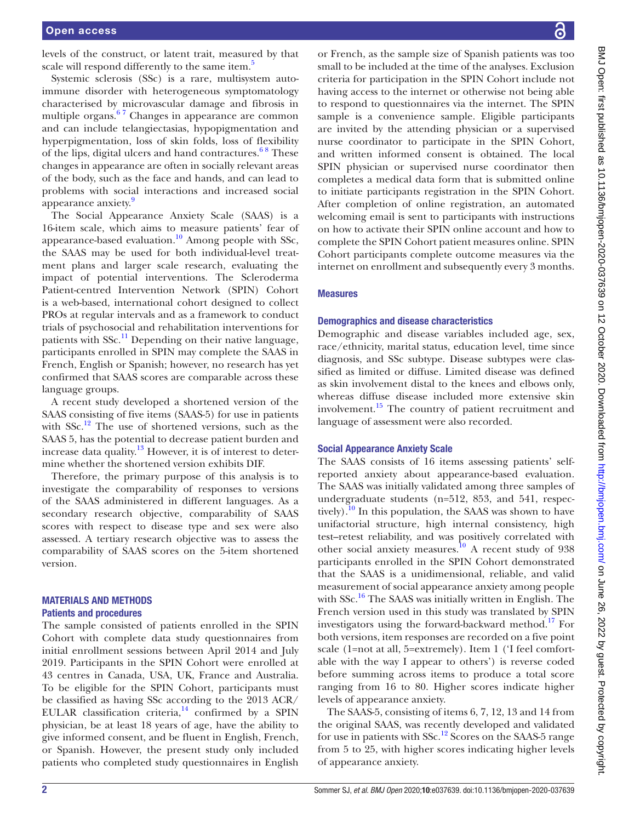levels of the construct, or latent trait, measured by that scale will respond differently to the same item.<sup>5</sup>

Systemic sclerosis (SSc) is a rare, multisystem autoimmune disorder with heterogeneous symptomatology characterised by microvascular damage and fibrosis in multiple organs.<sup>67</sup> Changes in appearance are common and can include telangiectasias, hypopigmentation and hyperpigmentation, loss of skin folds, loss of flexibility of the lips, digital ulcers and hand contractures.<sup>68</sup> These changes in appearance are often in socially relevant areas of the body, such as the face and hands, and can lead to problems with social interactions and increased social appearance anxiety.<sup>[9](#page-7-6)</sup>

The Social Appearance Anxiety Scale (SAAS) is a 16-item scale, which aims to measure patients' fear of appearance-based evaluation[.10](#page-7-7) Among people with SSc, the SAAS may be used for both individual-level treatment plans and larger scale research, evaluating the impact of potential interventions. The Scleroderma Patient-centred Intervention Network (SPIN) Cohort is a web-based, international cohort designed to collect PROs at regular intervals and as a framework to conduct trials of psychosocial and rehabilitation interventions for patients with SSc.<sup>11</sup> Depending on their native language, participants enrolled in SPIN may complete the SAAS in French, English or Spanish; however, no research has yet confirmed that SAAS scores are comparable across these language groups.

A recent study developed a shortened version of the SAAS consisting of five items (SAAS-5) for use in patients with SSc.<sup>12</sup> The use of shortened versions, such as the SAAS 5, has the potential to decrease patient burden and increase data quality.<sup>13</sup> However, it is of interest to determine whether the shortened version exhibits DIF.

Therefore, the primary purpose of this analysis is to investigate the comparability of responses to versions of the SAAS administered in different languages. As a secondary research objective, comparability of SAAS scores with respect to disease type and sex were also assessed. A tertiary research objective was to assess the comparability of SAAS scores on the 5-item shortened version.

## MATERIALS AND METHODS

### Patients and procedures

The sample consisted of patients enrolled in the SPIN Cohort with complete data study questionnaires from initial enrollment sessions between April 2014 and July 2019. Participants in the SPIN Cohort were enrolled at 43 centres in Canada, USA, UK, France and Australia. To be eligible for the SPIN Cohort, participants must be classified as having SSc according to the 2013 ACR/ EULAR classification criteria, $14$  confirmed by a SPIN physician, be at least 18 years of age, have the ability to give informed consent, and be fluent in English, French, or Spanish. However, the present study only included patients who completed study questionnaires in English

or French, as the sample size of Spanish patients was too small to be included at the time of the analyses. Exclusion criteria for participation in the SPIN Cohort include not having access to the internet or otherwise not being able to respond to questionnaires via the internet. The SPIN sample is a convenience sample. Eligible participants are invited by the attending physician or a supervised nurse coordinator to participate in the SPIN Cohort, and written informed consent is obtained. The local SPIN physician or supervised nurse coordinator then completes a medical data form that is submitted online to initiate participants registration in the SPIN Cohort. After completion of online registration, an automated welcoming email is sent to participants with instructions on how to activate their SPIN online account and how to complete the SPIN Cohort patient measures online. SPIN Cohort participants complete outcome measures via the internet on enrollment and subsequently every 3 months.

#### **Measures**

#### Demographics and disease characteristics

Demographic and disease variables included age, sex, race/ethnicity, marital status, education level, time since diagnosis, and SSc subtype. Disease subtypes were classified as limited or diffuse. Limited disease was defined as skin involvement distal to the knees and elbows only, whereas diffuse disease included more extensive skin involvement. $^{15}$  The country of patient recruitment and language of assessment were also recorded.

#### Social Appearance Anxiety Scale

The SAAS consists of 16 items assessing patients' selfreported anxiety about appearance-based evaluation. The SAAS was initially validated among three samples of undergraduate students (n=512, 853, and 541, respectively). $^{10}$  In this population, the SAAS was shown to have unifactorial structure, high internal consistency, high test–retest reliability, and was positively correlated with other social anxiety measures.<sup>10</sup> A recent study of  $938$ participants enrolled in the SPIN Cohort demonstrated that the SAAS is a unidimensional, reliable, and valid measurement of social appearance anxiety among people with  $SSc<sup>16</sup>$ . The SAAS was initially written in English. The French version used in this study was translated by SPIN investigators using the forward-backward method.<sup>17</sup> For both versions, item responses are recorded on a five point scale (1=not at all, 5=extremely). Item 1 ('I feel comfortable with the way I appear to others') is reverse coded before summing across items to produce a total score ranging from 16 to 80. Higher scores indicate higher levels of appearance anxiety.

The SAAS-5, consisting of items 6, 7, 12, 13 and 14 from the original SAAS, was recently developed and validated for use in patients with  $SSc<sup>12</sup>$  $SSc<sup>12</sup>$  $SSc<sup>12</sup>$  Scores on the SAAS-5 range from 5 to 25, with higher scores indicating higher levels of appearance anxiety.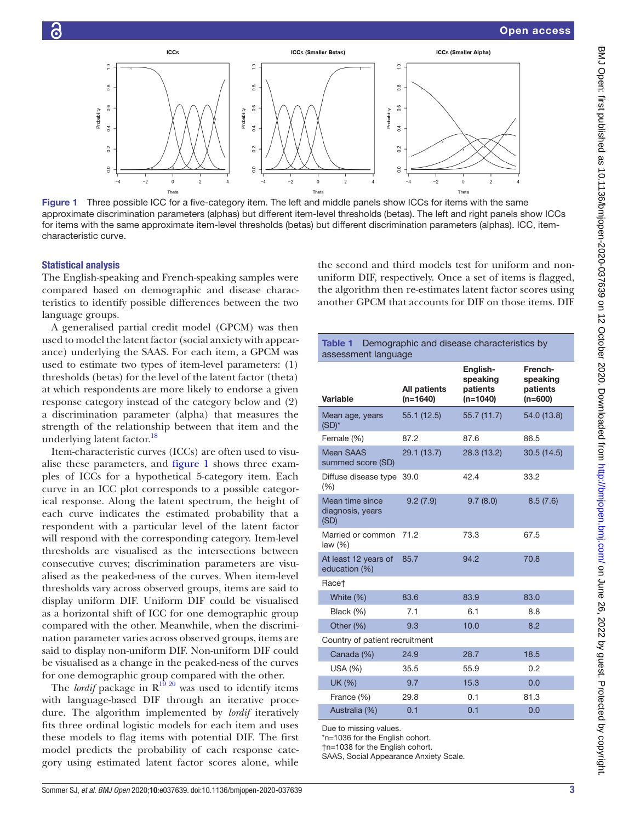

<span id="page-2-0"></span>Figure 1 Three possible ICC for a five-category item. The left and middle panels show ICCs for items with the same approximate discrimination parameters (alphas) but different item-level thresholds (betas). The left and right panels show ICCs for items with the same approximate item-level thresholds (betas) but different discrimination parameters (alphas). ICC, itemcharacteristic curve.

#### Statistical analysis

The English-speaking and French-speaking samples were compared based on demographic and disease characteristics to identify possible differences between the two language groups.

A generalised partial credit model (GPCM) was then used to model the latent factor (social anxiety with appearance) underlying the SAAS. For each item, a GPCM was used to estimate two types of item-level parameters: (1) thresholds (betas) for the level of the latent factor (theta) at which respondents are more likely to endorse a given response category instead of the category below and (2) a discrimination parameter (alpha) that measures the strength of the relationship between that item and the underlying latent factor.<sup>18</sup>

Item-characteristic curves (ICCs) are often used to visualise these parameters, and [figure](#page-2-0) 1 shows three examples of ICCs for a hypothetical 5-category item. Each curve in an ICC plot corresponds to a possible categorical response. Along the latent spectrum, the height of each curve indicates the estimated probability that a respondent with a particular level of the latent factor will respond with the corresponding category. Item-level thresholds are visualised as the intersections between consecutive curves; discrimination parameters are visualised as the peaked-ness of the curves. When item-level thresholds vary across observed groups, items are said to display uniform DIF. Uniform DIF could be visualised as a horizontal shift of ICC for one demographic group compared with the other. Meanwhile, when the discrimination parameter varies across observed groups, items are said to display non-uniform DIF. Non-uniform DIF could be visualised as a change in the peaked-ness of the curves for one demographic group compared with the other.

The *lordif* package in  $R^{19}$ <sup>20</sup> was used to identify items with language-based DIF through an iterative procedure. The algorithm implemented by *lordif* iteratively fits three ordinal logistic models for each item and uses these models to flag items with potential DIF. The first model predicts the probability of each response category using estimated latent factor scores alone, while

the second and third models test for uniform and nonuniform DIF, respectively. Once a set of items is flagged, the algorithm then re-estimates latent factor scores using another GPCM that accounts for DIF on those items. DIF

<span id="page-2-1"></span>

|                                             |                                   | English-                           | French-                           |
|---------------------------------------------|-----------------------------------|------------------------------------|-----------------------------------|
| Variable                                    | <b>All patients</b><br>$(n=1640)$ | speaking<br>patients<br>$(n=1040)$ | speaking<br>patients<br>$(n=600)$ |
| Mean age, years<br>$(SD)^*$                 | 55.1(12.5)                        | 55.7(11.7)                         | 54.0 (13.8)                       |
| Female (%)                                  | 87.2                              | 87.6                               | 86.5                              |
| Mean SAAS<br>summed score (SD)              | 29.1 (13.7)                       | 28.3 (13.2)                        | 30.5(14.5)                        |
| Diffuse disease type 39.0<br>$(\% )$        |                                   | 42.4                               | 33.2                              |
| Mean time since<br>diagnosis, years<br>(SD) | 9.2(7.9)                          | 9.7(8.0)                           | 8.5(7.6)                          |
| Married or common<br>law $(\%)$             | 71.2                              | 73.3                               | 67.5                              |
| At least 12 years of<br>education (%)       | 85.7                              | 94.2                               | 70.8                              |
| Race†                                       |                                   |                                    |                                   |
| White (%)                                   | 83.6                              | 83.9                               | 83.0                              |
| Black (%)                                   | 7.1                               | 6.1                                | 8.8                               |
| Other (%)                                   | 9.3                               | 10.0                               | 8.2                               |
| Country of patient recruitment              |                                   |                                    |                                   |
| Canada (%)                                  | 24.9                              | 28.7                               | 18.5                              |
| <b>USA (%)</b>                              | 35.5                              | 55.9                               | 0.2                               |
| <b>UK (%)</b>                               | 9.7                               | 15.3                               | 0.0                               |
| France (%)                                  | 29.8                              | 0.1                                | 81.3                              |
| Australia (%)                               | 0.1                               | 0.1                                | 0.0                               |

SAAS, Social Appearance Anxiety Scale.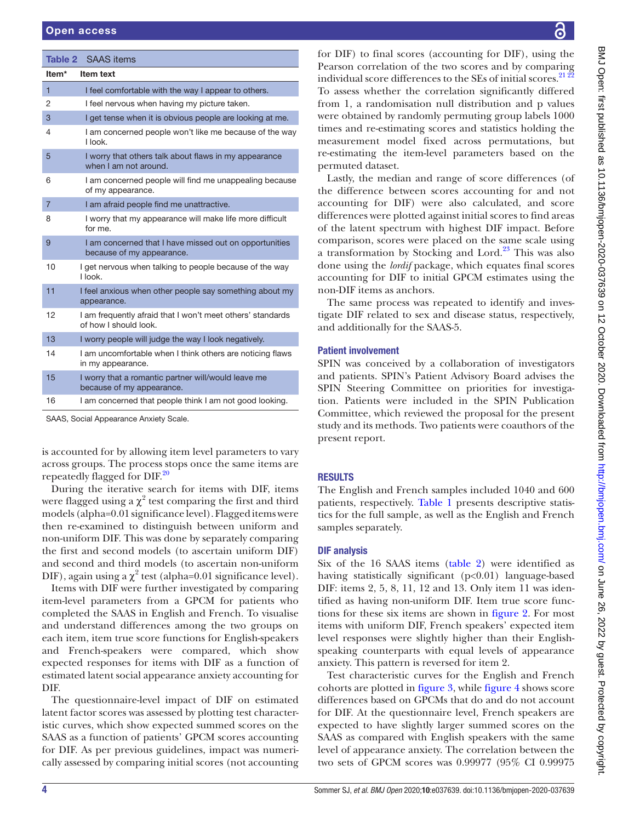<span id="page-3-0"></span>

| Table 2                                | <b>SAAS</b> items                                                                   |  |
|----------------------------------------|-------------------------------------------------------------------------------------|--|
| Item*                                  | Item text                                                                           |  |
| $\overline{1}$                         | I feel comfortable with the way I appear to others.                                 |  |
| 2                                      | I feel nervous when having my picture taken.                                        |  |
| 3                                      | I get tense when it is obvious people are looking at me.                            |  |
| 4                                      | I am concerned people won't like me because of the way<br>Llook.                    |  |
| 5                                      | I worry that others talk about flaws in my appearance<br>when I am not around.      |  |
| 6                                      | I am concerned people will find me unappealing because<br>of my appearance.         |  |
| $\overline{7}$                         | I am afraid people find me unattractive.                                            |  |
| 8                                      | I worry that my appearance will make life more difficult<br>for me.                 |  |
| 9                                      | I am concerned that I have missed out on opportunities<br>because of my appearance. |  |
| 10                                     | I get nervous when talking to people because of the way<br>Llook.                   |  |
| 11                                     | I feel anxious when other people say something about my<br>appearance.              |  |
| 12                                     | I am frequently afraid that I won't meet others' standards<br>of how I should look. |  |
| 13                                     | I worry people will judge the way I look negatively.                                |  |
| 14                                     | I am uncomfortable when I think others are noticing flaws<br>in my appearance.      |  |
| 15                                     | I worry that a romantic partner will/would leave me<br>because of my appearance.    |  |
| 16                                     | I am concerned that people think I am not good looking.                             |  |
| SAAS, Social Appearance Anxiety Scale. |                                                                                     |  |

is accounted for by allowing item level parameters to vary across groups. The process stops once the same items are repeatedly flagged for DIF.[20](#page-8-9)

During the iterative search for items with DIF, items were flagged using a  $\chi^2$  test comparing the first and third models (alpha=0.01 significance level). Flagged items were then re-examined to distinguish between uniform and non-uniform DIF. This was done by separately comparing the first and second models (to ascertain uniform DIF) and second and third models (to ascertain non-uniform DIF), again using a  $\chi^2$  test (alpha=0.01 significance level).

Items with DIF were further investigated by comparing item-level parameters from a GPCM for patients who completed the SAAS in English and French. To visualise and understand differences among the two groups on each item, item true score functions for English-speakers and French-speakers were compared, which show expected responses for items with DIF as a function of estimated latent social appearance anxiety accounting for DIF.

The questionnaire-level impact of DIF on estimated latent factor scores was assessed by plotting test characteristic curves, which show expected summed scores on the SAAS as a function of patients' GPCM scores accounting for DIF. As per previous guidelines, impact was numerically assessed by comparing initial scores (not accounting

for DIF) to final scores (accounting for DIF), using the Pearson correlation of the two scores and by comparing individual score differences to the SEs of initial scores.<sup>[21 22](#page-8-10)</sup> To assess whether the correlation significantly differed from 1, a randomisation null distribution and p values were obtained by randomly permuting group labels 1000 times and re-estimating scores and statistics holding the measurement model fixed across permutations, but re-estimating the item-level parameters based on the permuted dataset.

Lastly, the median and range of score differences (of the difference between scores accounting for and not accounting for DIF) were also calculated, and score differences were plotted against initial scores to find areas of the latent spectrum with highest DIF impact. Before comparison, scores were placed on the same scale using a transformation by Stocking and Lord. $23$  This was also done using the *lordif* package, which equates final scores accounting for DIF to initial GPCM estimates using the non-DIF items as anchors.

The same process was repeated to identify and investigate DIF related to sex and disease status, respectively, and additionally for the SAAS-5.

#### Patient involvement

SPIN was conceived by a collaboration of investigators and patients. SPIN's Patient Advisory Board advises the SPIN Steering Committee on priorities for investigation. Patients were included in the SPIN Publication Committee, which reviewed the proposal for the present study and its methods. Two patients were coauthors of the present report.

#### **RESULTS**

The English and French samples included 1040 and 600 patients, respectively. [Table](#page-2-1) 1 presents descriptive statistics for the full sample, as well as the English and French samples separately.

#### DIF analysis

Six of the 16 SAAS items [\(table](#page-3-0) 2) were identified as having statistically significant (p<0.01) language-based DIF: items 2, 5, 8, 11, 12 and 13. Only item 11 was identified as having non-uniform DIF. Item true score functions for these six items are shown in [figure](#page-4-0) 2. For most items with uniform DIF, French speakers' expected item level responses were slightly higher than their Englishspeaking counterparts with equal levels of appearance anxiety. This pattern is reversed for item 2.

Test characteristic curves for the English and French cohorts are plotted in [figure](#page-4-1) 3, while [figure](#page-5-0) 4 shows score differences based on GPCMs that do and do not account for DIF. At the questionnaire level, French speakers are expected to have slightly larger summed scores on the SAAS as compared with English speakers with the same level of appearance anxiety. The correlation between the two sets of GPCM scores was 0.99977 (95% CI 0.99975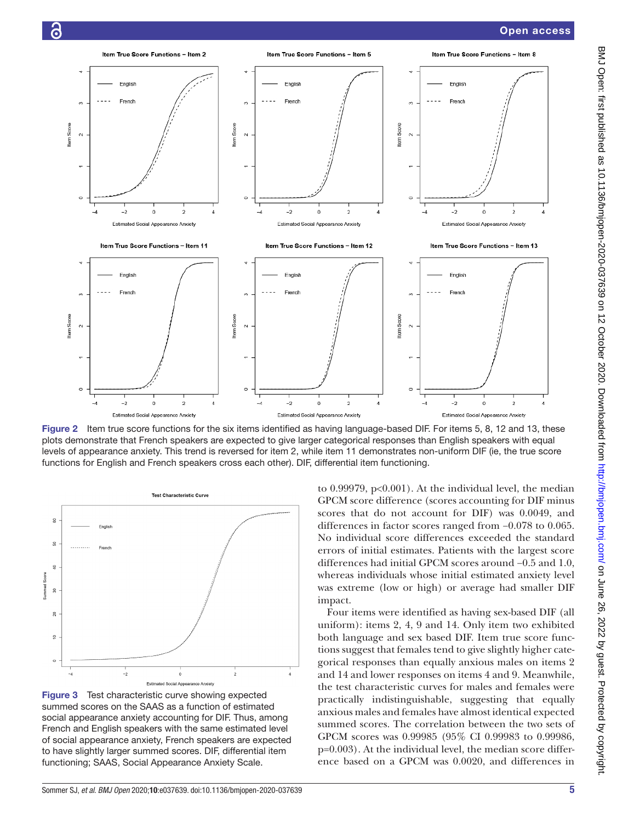

<span id="page-4-0"></span>Figure 2 Item true score functions for the six items identified as having language-based DIF. For items 5, 8, 12 and 13, these plots demonstrate that French speakers are expected to give larger categorical responses than English speakers with equal levels of appearance anxiety. This trend is reversed for item 2, while item 11 demonstrates non-uniform DIF (ie, the true score functions for English and French speakers cross each other). DIF, differential item functioning.



<span id="page-4-1"></span>Figure 3 Test characteristic curve showing expected summed scores on the SAAS as a function of estimated social appearance anxiety accounting for DIF. Thus, among French and English speakers with the same estimated level of social appearance anxiety, French speakers are expected to have slightly larger summed scores. DIF, differential item functioning; SAAS, Social Appearance Anxiety Scale.

to 0.99979, p<0.001). At the individual level, the median GPCM score difference (scores accounting for DIF minus scores that do not account for DIF) was 0.0049, and differences in factor scores ranged from −0.078 to 0.065. No individual score differences exceeded the standard errors of initial estimates. Patients with the largest score differences had initial GPCM scores around −0.5 and 1.0, whereas individuals whose initial estimated anxiety level was extreme (low or high) or average had smaller DIF impact.

Four items were identified as having sex-based DIF (all uniform): items 2, 4, 9 and 14. Only item two exhibited both language and sex based DIF. Item true score functions suggest that females tend to give slightly higher categorical responses than equally anxious males on items 2 and 14 and lower responses on items 4 and 9. Meanwhile, the test characteristic curves for males and females were practically indistinguishable, suggesting that equally anxious males and females have almost identical expected summed scores. The correlation between the two sets of GPCM scores was 0.99985 (95% CI 0.99983 to 0.99986, p=0.003). At the individual level, the median score difference based on a GPCM was 0.0020, and differences in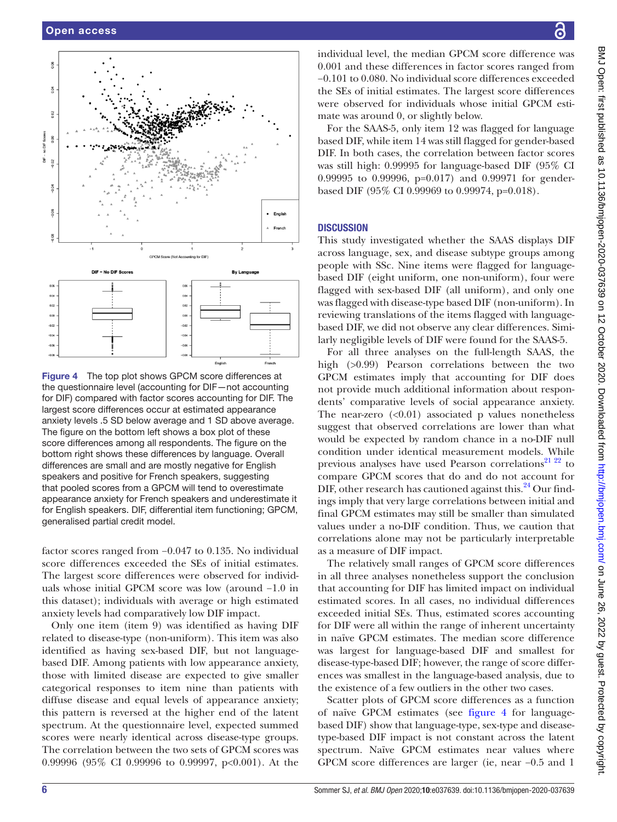

<span id="page-5-0"></span>Figure 4 The top plot shows GPCM score differences at the questionnaire level (accounting for DIF—not accounting for DIF) compared with factor scores accounting for DIF. The largest score differences occur at estimated appearance anxiety levels .5 SD below average and 1 SD above average. The figure on the bottom left shows a box plot of these score differences among all respondents. The figure on the bottom right shows these differences by language. Overall differences are small and are mostly negative for English speakers and positive for French speakers, suggesting that pooled scores from a GPCM will tend to overestimate appearance anxiety for French speakers and underestimate it for English speakers. DIF, differential item functioning; GPCM, generalised partial credit model.

factor scores ranged from −0.047 to 0.135. No individual score differences exceeded the SEs of initial estimates. The largest score differences were observed for individuals whose initial GPCM score was low (around −1.0 in this dataset); individuals with average or high estimated anxiety levels had comparatively low DIF impact.

Only one item (item 9) was identified as having DIF related to disease-type (non-uniform). This item was also identified as having sex-based DIF, but not languagebased DIF. Among patients with low appearance anxiety, those with limited disease are expected to give smaller categorical responses to item nine than patients with diffuse disease and equal levels of appearance anxiety; this pattern is reversed at the higher end of the latent spectrum. At the questionnaire level, expected summed scores were nearly identical across disease-type groups. The correlation between the two sets of GPCM scores was 0.99996 (95% CI 0.99996 to 0.99997, p<0.001). At the

individual level, the median GPCM score difference was 0.001 and these differences in factor scores ranged from −0.101 to 0.080. No individual score differences exceeded the SEs of initial estimates. The largest score differences were observed for individuals whose initial GPCM estimate was around 0, or slightly below.

For the SAAS-5, only item 12 was flagged for language based DIF, while item 14 was still flagged for gender-based DIF. In both cases, the correlation between factor scores was still high: 0.99995 for language-based DIF (95% CI 0.99995 to 0.99996, p=0.017) and 0.99971 for genderbased DIF (95% CI 0.99969 to 0.99974, p=0.018).

#### **DISCUSSION**

This study investigated whether the SAAS displays DIF across language, sex, and disease subtype groups among people with SSc. Nine items were flagged for languagebased DIF (eight uniform, one non-uniform), four were flagged with sex-based DIF (all uniform), and only one was flagged with disease-type based DIF (non-uniform). In reviewing translations of the items flagged with languagebased DIF, we did not observe any clear differences. Similarly negligible levels of DIF were found for the SAAS-5.

For all three analyses on the full-length SAAS, the high (>0.99) Pearson correlations between the two GPCM estimates imply that accounting for DIF does not provide much additional information about respondents' comparative levels of social appearance anxiety. The near-zero  $( $0.01$ ) associated p values nonetheless$ suggest that observed correlations are lower than what would be expected by random chance in a no-DIF null condition under identical measurement models. While previous analyses have used Pearson correlations $2^{122}$  to compare GPCM scores that do and do not account for DIF, other research has cautioned against this. $^{24}$  $^{24}$  $^{24}$  Our findings imply that very large correlations between initial and final GPCM estimates may still be smaller than simulated values under a no-DIF condition. Thus, we caution that correlations alone may not be particularly interpretable as a measure of DIF impact.

The relatively small ranges of GPCM score differences in all three analyses nonetheless support the conclusion that accounting for DIF has limited impact on individual estimated scores. In all cases, no individual differences exceeded initial SEs. Thus, estimated scores accounting for DIF were all within the range of inherent uncertainty in naïve GPCM estimates. The median score difference was largest for language-based DIF and smallest for disease-type-based DIF; however, the range of score differences was smallest in the language-based analysis, due to the existence of a few outliers in the other two cases.

Scatter plots of GPCM score differences as a function of naïve GPCM estimates (see [figure](#page-5-0) 4 for languagebased DIF) show that language-type, sex-type and diseasetype-based DIF impact is not constant across the latent spectrum. Naïve GPCM estimates near values where GPCM score differences are larger (ie, near −0.5 and 1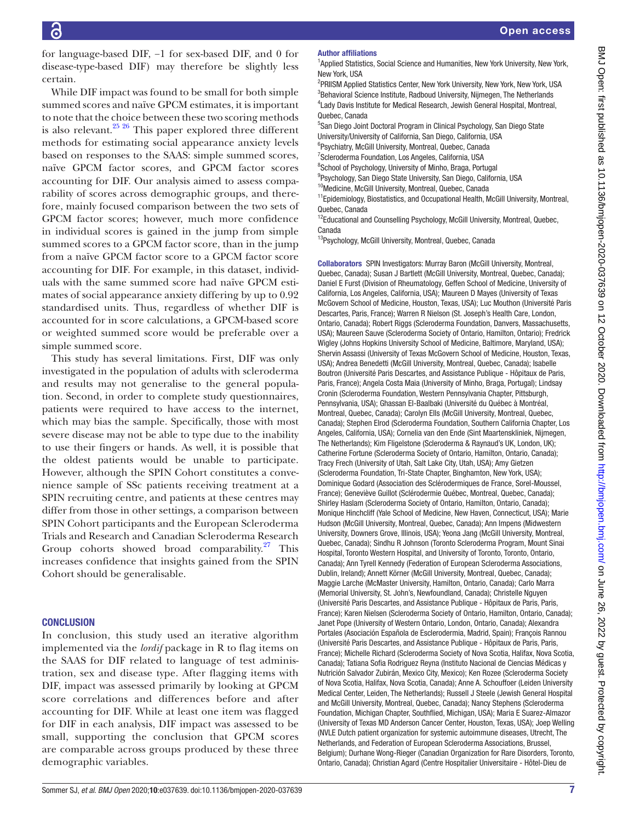for language-based DIF, −1 for sex-based DIF, and 0 for disease-type-based DIF) may therefore be slightly less certain.

While DIF impact was found to be small for both simple summed scores and naïve GPCM estimates, it is important to note that the choice between these two scoring methods is also relevant.<sup>25 26</sup> This paper explored three different methods for estimating social appearance anxiety levels based on responses to the SAAS: simple summed scores, naïve GPCM factor scores, and GPCM factor scores accounting for DIF. Our analysis aimed to assess comparability of scores across demographic groups, and therefore, mainly focused comparison between the two sets of GPCM factor scores; however, much more confidence in individual scores is gained in the jump from simple summed scores to a GPCM factor score, than in the jump from a naïve GPCM factor score to a GPCM factor score accounting for DIF. For example, in this dataset, individuals with the same summed score had naïve GPCM estimates of social appearance anxiety differing by up to 0.92 standardised units. Thus, regardless of whether DIF is accounted for in score calculations, a GPCM-based score or weighted summed score would be preferable over a simple summed score.

This study has several limitations. First, DIF was only investigated in the population of adults with scleroderma and results may not generalise to the general population. Second, in order to complete study questionnaires, patients were required to have access to the internet, which may bias the sample. Specifically, those with most severe disease may not be able to type due to the inability to use their fingers or hands. As well, it is possible that the oldest patients would be unable to participate. However, although the SPIN Cohort constitutes a convenience sample of SSc patients receiving treatment at a SPIN recruiting centre, and patients at these centres may differ from those in other settings, a comparison between SPIN Cohort participants and the European Scleroderma Trials and Research and Canadian Scleroderma Research Group cohorts showed broad comparability. $27$  This increases confidence that insights gained from the SPIN Cohort should be generalisable.

#### **CONCLUSION**

In conclusion, this study used an iterative algorithm implemented via the *lordif* package in R to flag items on the SAAS for DIF related to language of test administration, sex and disease type. After flagging items with DIF, impact was assessed primarily by looking at GPCM score correlations and differences before and after accounting for DIF. While at least one item was flagged for DIF in each analysis, DIF impact was assessed to be small, supporting the conclusion that GPCM scores are comparable across groups produced by these three demographic variables.

#### Author affiliations

<sup>1</sup>Applied Statistics, Social Science and Humanities, New York University, New York, New York, USA

<sup>2</sup>PRIISM Applied Statistics Center, New York University, New York, New York, USA <sup>3</sup>Behavioral Science Institute, Radboud University, Nijmegen, The Netherlands 4 Lady Davis Institute for Medical Research, Jewish General Hospital, Montreal, Quebec, Canada

5 San Diego Joint Doctoral Program in Clinical Psychology, San Diego State University/University of California, San Diego, California, USA 6 Psychiatry, McGill University, Montreal, Quebec, Canada 7 Scleroderma Foundation, Los Angeles, California, USA <sup>8</sup>School of Psychology, University of Minho, Braga, Portugal

9 Psychology, San Diego State University, San Diego, California, USA

<sup>10</sup>Medicine, McGill University, Montreal, Quebec, Canada

<sup>11</sup>Epidemiology, Biostatistics, and Occupational Health, McGill University, Montreal, Quebec, Canada

<sup>12</sup>Educational and Counselling Psychology, McGill University, Montreal, Quebec, Canada

<sup>13</sup>Psychology, McGill University, Montreal, Quebec, Canada

Collaborators SPIN Investigators: Murray Baron (McGill University, Montreal, Quebec, Canada); Susan J Bartlett (McGill University, Montreal, Quebec, Canada); Daniel E Furst (Division of Rheumatology, Geffen School of Medicine, University of California, Los Angeles, California, USA); Maureen D Mayes (University of Texas McGovern School of Medicine, Houston, Texas, USA); Luc Mouthon (Université Paris Descartes, Paris, France); Warren R Nielson (St. Joseph's Health Care, London, Ontario, Canada); Robert Riggs (Scleroderma Foundation, Danvers, Massachusetts, USA); Maureen Sauve (Scleroderma Society of Ontario, Hamilton, Ontario); Fredrick Wigley (Johns Hopkins University School of Medicine, Baltimore, Maryland, USA); Shervin Assassi (University of Texas McGovern School of Medicine, Houston, Texas, USA); Andrea Benedetti (McGill University, Montreal, Quebec, Canada); Isabelle Boutron (Université Paris Descartes, and Assistance Publique - Hôpitaux de Paris, Paris, France); Angela Costa Maia (University of Minho, Braga, Portugal); Lindsay Cronin (Scleroderma Foundation, Western Pennsylvania Chapter, Pittsburgh, Pennsylvania, USA); Ghassan El-Baalbaki (Université du Québec à Montréal, Montreal, Quebec, Canada); Carolyn Ells (McGill University, Montreal, Quebec, Canada); Stephen Elrod (Scleroderma Foundation, Southern California Chapter, Los Angeles, California, USA); Cornelia van den Ende (Sint Maartenskliniek, Nijmegen, The Netherlands); Kim Fligelstone (Scleroderma & Raynaud's UK, London, UK); Catherine Fortune (Scleroderma Society of Ontario, Hamilton, Ontario, Canada); Tracy Frech (University of Utah, Salt Lake City, Utah, USA); Amy Gietzen (Scleroderma Foundation, Tri-State Chapter, Binghamton, New York, USA); Dominique Godard (Association des Sclérodermiques de France, Sorel-Moussel, France); Geneviève Guillot (Sclérodermie Québec, Montreal, Quebec, Canada); Shirley Haslam (Scleroderma Society of Ontario, Hamilton, Ontario, Canada); Monique Hinchcliff (Yale School of Medicine, New Haven, Connecticut, USA); Marie Hudson (McGill University, Montreal, Quebec, Canada); Ann Impens (Midwestern University, Downers Grove, Illinois, USA); Yeona Jang (McGill University, Montreal, Quebec, Canada); Sindhu R Johnson (Toronto Scleroderma Program, Mount Sinai Hospital, Toronto Western Hospital, and University of Toronto, Toronto, Ontario, Canada); Ann Tyrell Kennedy (Federation of European Scleroderma Associations, Dublin, Ireland); Annett Körner (McGill University, Montreal, Quebec, Canada); Maggie Larche (McMaster University, Hamilton, Ontario, Canada); Carlo Marra (Memorial University, St. John's, Newfoundland, Canada); Christelle Nguyen (Université Paris Descartes, and Assistance Publique - Hôpitaux de Paris, Paris, France); Karen Nielsen (Scleroderma Society of Ontario, Hamilton, Ontario, Canada); Janet Pope (University of Western Ontario, London, Ontario, Canada); Alexandra Portales (Asociación Española de Esclerodermia, Madrid, Spain); François Rannou (Université Paris Descartes, and Assistance Publique - Hôpitaux de Paris, Paris, France); Michelle Richard (Scleroderma Society of Nova Scotia, Halifax, Nova Scotia, Canada); Tatiana Sofia Rodriguez Reyna (Instituto Nacional de Ciencias Médicas y Nutrición Salvador Zubirán, Mexico City, Mexico); Ken Rozee (Scleroderma Society of Nova Scotia, Halifax, Nova Scotia, Canada); Anne A. Schouffoer (Leiden University Medical Center, Leiden, The Netherlands); Russell J Steele (Jewish General Hospital and McGill University, Montreal, Quebec, Canada); Nancy Stephens (Scleroderma Foundation, Michigan Chapter, Southflied, Michigan, USA); Maria E Suarez-Almazor (University of Texas MD Anderson Cancer Center, Houston, Texas, USA); Joep Welling (NVLE Dutch patient organization for systemic autoimmune diseases, Utrecht, The Netherlands, and Federation of European Scleroderma Associations, Brussel, Belgium); Durhane Wong-Rieger (Canadian Organization for Rare Disorders, Toronto, Ontario, Canada); Christian Agard (Centre Hospitalier Universitaire - Hôtel-Dieu de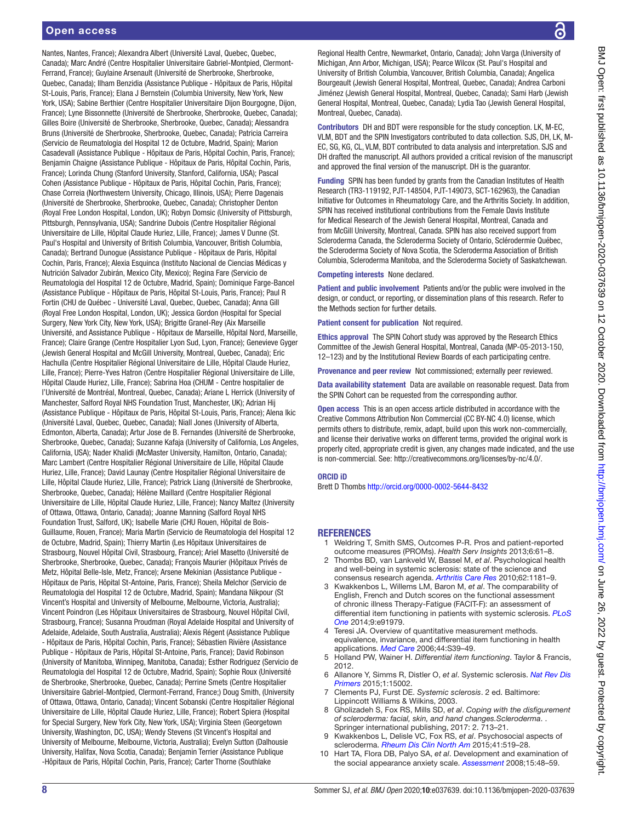#### Open access

Nantes, Nantes, France); Alexandra Albert (Université Laval, Quebec, Quebec, Canada); Marc André (Centre Hospitalier Universitaire Gabriel-Montpied, Clermont-Ferrand, France); Guylaine Arsenault (Université de Sherbrooke, Sherbrooke, Quebec, Canada); Ilham Benzidia (Assistance Publique - Hôpitaux de Paris, Hôpital St-Louis, Paris, France); Elana J Bernstein (Columbia University, New York, New York, USA); Sabine Berthier (Centre Hospitalier Universitaire Dijon Bourgogne, Dijon, France); Lyne Bissonnette (Université de Sherbrooke, Sherbrooke, Quebec, Canada); Gilles Boire (Université de Sherbrooke, Sherbrooke, Quebec, Canada); Alessandra Bruns (Université de Sherbrooke, Sherbrooke, Quebec, Canada); Patricia Carreira (Servicio de Reumatologia del Hospital 12 de Octubre, Madrid, Spain); Marion Casadevall (Assistance Publique - Hôpitaux de Paris, Hôpital Cochin, Paris, France); Benjamin Chaigne (Assistance Publique - Hôpitaux de Paris, Hôpital Cochin, Paris, France); Lorinda Chung (Stanford University, Stanford, California, USA); Pascal Cohen (Assistance Publique - Hôpitaux de Paris, Hôpital Cochin, Paris, France); Chase Correia (Northwestern University, Chicago, Illinois, USA); Pierre Dagenais (Université de Sherbrooke, Sherbrooke, Quebec, Canada); Christopher Denton (Royal Free London Hospital, London, UK); Robyn Domsic (University of Pittsburgh, Pittsburgh, Pennsylvania, USA); Sandrine Dubois (Centre Hospitalier Régional Universitaire de Lille, Hôpital Claude Huriez, Lille, France); James V Dunne (St. Paul's Hospital and University of British Columbia, Vancouver, British Columbia, Canada); Bertrand Dunogue (Assistance Publique - Hôpitaux de Paris, Hôpital Cochin, Paris, France); Alexia Esquinca (Instituto Nacional de Ciencias Médicas y Nutrición Salvador Zubirán, Mexico City, Mexico); Regina Fare (Servicio de Reumatologia del Hospital 12 de Octubre, Madrid, Spain); Dominique Farge-Bancel (Assistance Publique - Hôpitaux de Paris, Hôpital St-Louis, Paris, France); Paul R Fortin (CHU de Québec - Université Laval, Quebec, Quebec, Canada); Anna Gill (Royal Free London Hospital, London, UK); Jessica Gordon (Hospital for Special Surgery, New York City, New York, USA); Brigitte Granel-Rey (Aix Marseille Université, and Assistance Publique - Hôpitaux de Marseille, Hôpital Nord, Marseille, France); Claire Grange (Centre Hospitalier Lyon Sud, Lyon, France); Genevieve Gyger (Jewish General Hospital and McGill University, Montreal, Quebec, Canada); Eric Hachulla (Centre Hospitalier Régional Universitaire de Lille, Hôpital Claude Huriez, Lille, France); Pierre-Yves Hatron (Centre Hospitalier Régional Universitaire de Lille, Hôpital Claude Huriez, Lille, France); Sabrina Hoa (CHUM - Centre hospitalier de l'Université de Montréal, Montreal, Quebec, Canada); Ariane L Herrick (University of Manchester, Salford Royal NHS Foundation Trust, Manchester, UK); Adrian Hij (Assistance Publique - Hôpitaux de Paris, Hôpital St-Louis, Paris, France); Alena Ikic (Université Laval, Quebec, Quebec, Canada); Niall Jones (University of Alberta, Edmonton, Alberta, Canada); Artur Jose de B. Fernandes (Université de Sherbrooke, Sherbrooke, Quebec, Canada); Suzanne Kafaja (University of California, Los Angeles, California, USA); Nader Khalidi (McMaster University, Hamilton, Ontario, Canada); Marc Lambert (Centre Hospitalier Régional Universitaire de Lille, Hôpital Claude Huriez, Lille, France); David Launay (Centre Hospitalier Régional Universitaire de Lille, Hôpital Claude Huriez, Lille, France); Patrick Liang (Université de Sherbrooke, Sherbrooke, Quebec, Canada); Hélène Maillard (Centre Hospitalier Régional Universitaire de Lille, Hôpital Claude Huriez, Lille, France); Nancy Maltez (University of Ottawa, Ottawa, Ontario, Canada); Joanne Manning (Salford Royal NHS Foundation Trust, Salford, UK); Isabelle Marie (CHU Rouen, Hôpital de Bois-Guillaume, Rouen, France); Maria Martin (Servicio de Reumatologia del Hospital 12 de Octubre, Madrid, Spain); Thierry Martin (Les Hôpitaux Universitaires de Strasbourg, Nouvel Hôpital Civil, Strasbourg, France); Ariel Masetto (Université de Sherbrooke, Sherbrooke, Quebec, Canada); François Maurier (Hôpitaux Privés de Metz, Hôpital Belle-Isle, Metz, France); Arsene Mekinian (Assistance Publique - Hôpitaux de Paris, Hôpital St-Antoine, Paris, France); Sheila Melchor (Servicio de Reumatologia del Hospital 12 de Octubre, Madrid, Spain); Mandana Nikpour (St Vincent's Hospital and University of Melbourne, Melbourne, Victoria, Australia); Vincent Poindron (Les Hôpitaux Universitaires de Strasbourg, Nouvel Hôpital Civil, Strasbourg, France); Susanna Proudman (Royal Adelaide Hospital and University of Adelaide, Adelaide, South Australia, Australia); Alexis Régent (Assistance Publique - Hôpitaux de Paris, Hôpital Cochin, Paris, France); Sébastien Rivière (Assistance Publique - Hôpitaux de Paris, Hôpital St-Antoine, Paris, France); David Robinson (University of Manitoba, Winnipeg, Manitoba, Canada); Esther Rodriguez (Servicio de Reumatologia del Hospital 12 de Octubre, Madrid, Spain); Sophie Roux (Université de Sherbrooke, Sherbrooke, Quebec, Canada); Perrine Smets (Centre Hospitalier Universitaire Gabriel-Montpied, Clermont-Ferrand, France;) Doug Smith, (University of Ottawa, Ottawa, Ontario, Canada); Vincent Sobanski (Centre Hospitalier Régional Universitaire de Lille, Hôpital Claude Huriez, Lille, France); Robert Spiera (Hospital for Special Surgery, New York City, New York, USA); Virginia Steen (Georgetown University, Washington, DC, USA); Wendy Stevens (St Vincent's Hospital and University of Melbourne, Melbourne, Victoria, Australia); Evelyn Sutton (Dalhousie University, Halifax, Nova Scotia, Canada); Benjamin Terrier (Assistance Publique -Hôpitaux de Paris, Hôpital Cochin, Paris, France); Carter Thorne (Southlake

Regional Health Centre, Newmarket, Ontario, Canada); John Varga (University of Michigan, Ann Arbor, Michigan, USA); Pearce Wilcox (St. Paul's Hospital and University of British Columbia, Vancouver, British Columbia, Canada); Angelica Bourgeault (Jewish General Hospital, Montreal, Quebec, Canada); Andrea Carboni Jiménez (Jewish General Hospital, Montreal, Quebec, Canada); Sami Harb (Jewish General Hospital, Montreal, Quebec, Canada); Lydia Tao (Jewish General Hospital, Montreal, Quebec, Canada).

Contributors DH and BDT were responsible for the study conception. LK, M-EC, VLM, BDT and the SPIN Investigators contributed to data collection. SJS, DH, LK, M-EC, SG, KG, CL, VLM, BDT contributed to data analysis and interpretation. SJS and DH drafted the manuscript. All authors provided a critical revision of the manuscript and approved the final version of the manuscript. DH is the guarantor.

Funding SPIN has been funded by grants from the Canadian Institutes of Health Research (TR3-119192, PJT-148504, PJT-149073, SCT-162963), the Canadian Initiative for Outcomes in Rheumatology Care, and the Arthritis Society. In addition, SPIN has received institutional contributions from the Female Davis Institute for Medical Research of the Jewish General Hospital, Montreal, Canada and from McGill University, Montreal, Canada. SPIN has also received support from Scleroderma Canada, the Scleroderma Society of Ontario, Sclérodermie Québec, the Scleroderma Society of Nova Scotia, the Scleroderma Association of British Columbia, Scleroderma Manitoba, and the Scleroderma Society of Saskatchewan.

#### Competing interests None declared.

Patient and public involvement Patients and/or the public were involved in the design, or conduct, or reporting, or dissemination plans of this research. Refer to the Methods section for further details.

Patient consent for publication Not required.

Ethics approval The SPIN Cohort study was approved by the Research Ethics Committee of the Jewish General Hospital, Montreal, Canada (MP-05-2013-150, 12–123) and by the Institutional Review Boards of each participating centre.

Provenance and peer review Not commissioned; externally peer reviewed.

Data availability statement Data are available on reasonable request. Data from the SPIN Cohort can be requested from the corresponding author.

Open access This is an open access article distributed in accordance with the Creative Commons Attribution Non Commercial (CC BY-NC 4.0) license, which permits others to distribute, remix, adapt, build upon this work non-commercially, and license their derivative works on different terms, provided the original work is properly cited, appropriate credit is given, any changes made indicated, and the use is non-commercial. See: [http://creativecommons.org/licenses/by-nc/4.0/.](http://creativecommons.org/licenses/by-nc/4.0/)

#### ORCID iD

Brett D Thombs<http://orcid.org/0000-0002-5644-8432>

#### <span id="page-7-0"></span>REFERENCES

- 1 Weldring T, Smith SMS, Outcomes P-R. Pros and patient-reported outcome measures (PROMs). *Health Serv Insights* 2013;6:61–8.
- <span id="page-7-1"></span>2 Thombs BD, van Lankveld W, Bassel M, *et al*. Psychological health and well-being in systemic sclerosis: state of the science and consensus research agenda. *[Arthritis Care Res](http://dx.doi.org/10.1002/acr.20187)* 2010;62:1181–9.
- <span id="page-7-2"></span>3 Kwakkenbos L, Willems LM, Baron M, *et al*. The comparability of English, French and Dutch scores on the functional assessment of chronic illness Therapy-Fatigue (FACIT-F): an assessment of differential item functioning in patients with systemic sclerosis. *[PLoS](http://dx.doi.org/10.1371/journal.pone.0091979)  [One](http://dx.doi.org/10.1371/journal.pone.0091979)* 2014;9:e91979.
- <span id="page-7-3"></span>Teresi JA. Overview of quantitative measurement methods. equivalence, invariance, and differential item functioning in health applications. *[Med Care](http://dx.doi.org/10.1097/01.mlr.0000245452.48613.45)* 2006;44:S39–49.
- <span id="page-7-4"></span>5 Holland PW, Wainer H. *Differential item functioning*. Taylor & Francis, 2012.
- <span id="page-7-5"></span>6 Allanore Y, Simms R, Distler O, *et al*. Systemic sclerosis. *[Nat Rev Dis](http://dx.doi.org/10.1038/nrdp.2015.2)  [Primers](http://dx.doi.org/10.1038/nrdp.2015.2)* 2015;1:15002.
- 7 Clements PJ, Furst DE. *Systemic sclerosis*. 2 ed. Baltimore: Lippincott Williams & Wilkins, 2003.
- 8 Gholizadeh S, Fox RS, Mills SD, *et al*. *Coping with the disfigurement of scleroderma: facial, skin, and hand changes.Scleroderma*. . Springer international publishing, 2017: 2. 713–21.
- <span id="page-7-6"></span>9 Kwakkenbos L, Delisle VC, Fox RS, *et al*. Psychosocial aspects of scleroderma. *[Rheum Dis Clin North Am](http://dx.doi.org/10.1016/j.rdc.2015.04.010)* 2015;41:519–28.
- <span id="page-7-7"></span>10 Hart TA, Flora DB, Palyo SA, *et al*. Development and examination of the social appearance anxiety scale. *[Assessment](http://dx.doi.org/10.1177/1073191107306673)* 2008;15:48–59.